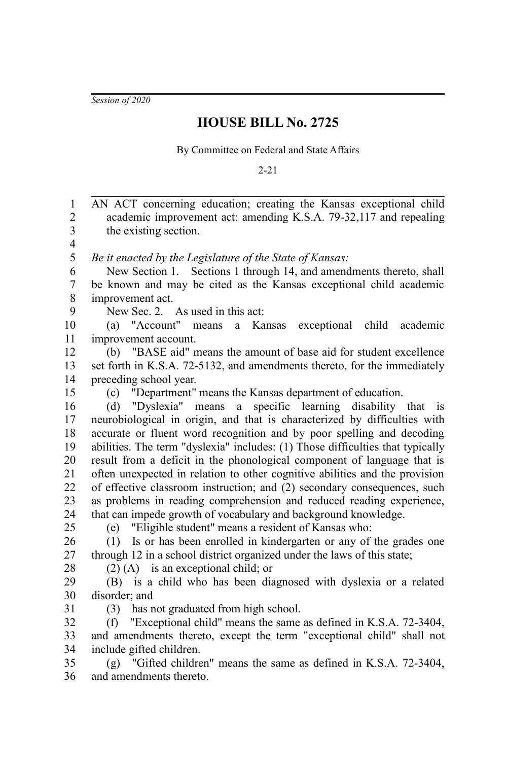*Session of 2020*

## **HOUSE BILL No. 2725**

By Committee on Federal and State Affairs

2-21

AN ACT concerning education; creating the Kansas exceptional child academic improvement act; amending K.S.A. 79-32,117 and repealing the existing section. *Be it enacted by the Legislature of the State of Kansas:* New Section 1. Sections 1 through 14, and amendments thereto, shall be known and may be cited as the Kansas exceptional child academic improvement act. New Sec. 2. As used in this act: (a) "Account" means a Kansas exceptional child academic improvement account. (b) "BASE aid" means the amount of base aid for student excellence set forth in K.S.A. 72-5132, and amendments thereto, for the immediately preceding school year. (c) "Department" means the Kansas department of education. (d) "Dyslexia" means a specific learning disability that is neurobiological in origin, and that is characterized by difficulties with accurate or fluent word recognition and by poor spelling and decoding abilities. The term "dyslexia" includes: (1) Those difficulties that typically result from a deficit in the phonological component of language that is often unexpected in relation to other cognitive abilities and the provision of effective classroom instruction; and (2) secondary consequences, such as problems in reading comprehension and reduced reading experience, that can impede growth of vocabulary and background knowledge. (e) "Eligible student" means a resident of Kansas who: (1) Is or has been enrolled in kindergarten or any of the grades one through 12 in a school district organized under the laws of this state; (2) (A) is an exceptional child; or (B) is a child who has been diagnosed with dyslexia or a related disorder; and (3) has not graduated from high school. (f) "Exceptional child" means the same as defined in K.S.A. 72-3404, and amendments thereto, except the term "exceptional child" shall not include gifted children. 1 2 3 4 5 6 7 8 9 10 11 12 13 14 15 16 17 18 19 20 21 22 23 24 25 26 27 28 29 30 31 32 33 34

(g) "Gifted children" means the same as defined in K.S.A. 72-3404, and amendments thereto. 35 36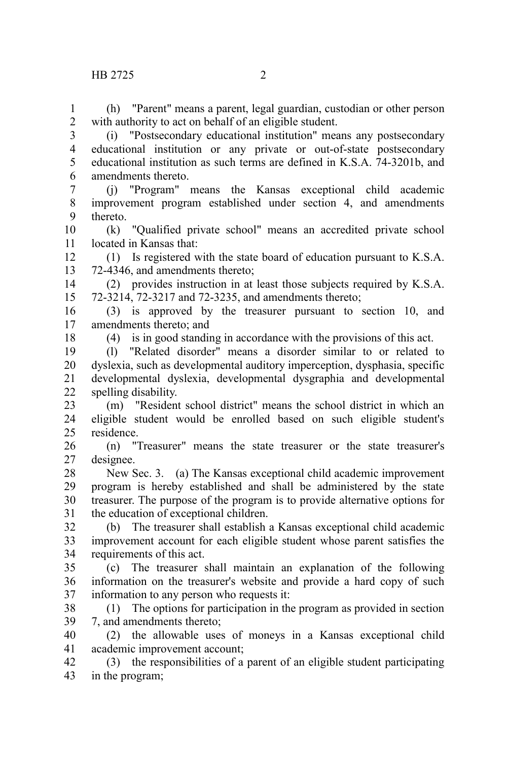1 2

18

(i) "Postsecondary educational institution" means any postsecondary educational institution or any private or out-of-state postsecondary educational institution as such terms are defined in K.S.A. 74-3201b, and amendments thereto. 3 4 5 6

(j) "Program" means the Kansas exceptional child academic improvement program established under section 4, and amendments thereto. 7 8 9

(k) "Qualified private school" means an accredited private school located in Kansas that: 10 11

(1) Is registered with the state board of education pursuant to K.S.A. 72-4346, and amendments thereto; 12 13

(2) provides instruction in at least those subjects required by K.S.A. 72-3214, 72-3217 and 72-3235, and amendments thereto; 14 15

(3) is approved by the treasurer pursuant to section 10, and amendments thereto; and 16 17

(4) is in good standing in accordance with the provisions of this act.

(l) "Related disorder" means a disorder similar to or related to dyslexia, such as developmental auditory imperception, dysphasia, specific developmental dyslexia, developmental dysgraphia and developmental spelling disability. 19 20 21 22

(m) "Resident school district" means the school district in which an eligible student would be enrolled based on such eligible student's residence. 23 24 25

(n) "Treasurer" means the state treasurer or the state treasurer's designee. 26 27

New Sec. 3. (a) The Kansas exceptional child academic improvement program is hereby established and shall be administered by the state treasurer. The purpose of the program is to provide alternative options for the education of exceptional children. 28 29 30 31

(b) The treasurer shall establish a Kansas exceptional child academic improvement account for each eligible student whose parent satisfies the requirements of this act. 32 33 34

(c) The treasurer shall maintain an explanation of the following information on the treasurer's website and provide a hard copy of such information to any person who requests it: 35 36 37

(1) The options for participation in the program as provided in section 7, and amendments thereto; 38 39

(2) the allowable uses of moneys in a Kansas exceptional child academic improvement account; 40 41

(3) the responsibilities of a parent of an eligible student participating in the program; 42 43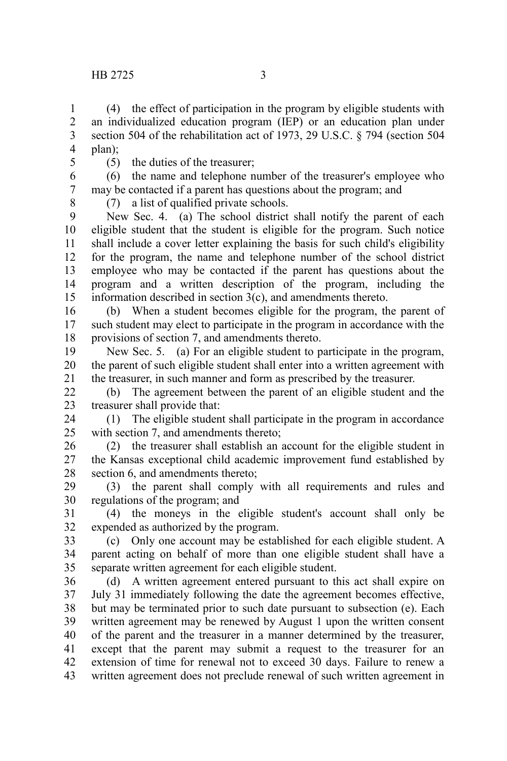(4) the effect of participation in the program by eligible students with an individualized education program (IEP) or an education plan under section 504 of the rehabilitation act of 1973, 29 U.S.C. § 794 (section 504) plan); 1 2 3 4

5

(5) the duties of the treasurer;

(6) the name and telephone number of the treasurer's employee who may be contacted if a parent has questions about the program; and 6 7

8

(7) a list of qualified private schools.

New Sec. 4. (a) The school district shall notify the parent of each eligible student that the student is eligible for the program. Such notice shall include a cover letter explaining the basis for such child's eligibility for the program, the name and telephone number of the school district employee who may be contacted if the parent has questions about the program and a written description of the program, including the information described in section 3(c), and amendments thereto. 9 10 11 12 13 14 15

(b) When a student becomes eligible for the program, the parent of such student may elect to participate in the program in accordance with the provisions of section 7, and amendments thereto. 16 17 18

New Sec. 5. (a) For an eligible student to participate in the program, the parent of such eligible student shall enter into a written agreement with the treasurer, in such manner and form as prescribed by the treasurer. 19 20 21

(b) The agreement between the parent of an eligible student and the treasurer shall provide that: 22 23

(1) The eligible student shall participate in the program in accordance with section 7, and amendments thereto; 24 25

(2) the treasurer shall establish an account for the eligible student in the Kansas exceptional child academic improvement fund established by section 6, and amendments thereto; 26 27 28

(3) the parent shall comply with all requirements and rules and regulations of the program; and 29 30

(4) the moneys in the eligible student's account shall only be expended as authorized by the program. 31 32

(c) Only one account may be established for each eligible student. A parent acting on behalf of more than one eligible student shall have a separate written agreement for each eligible student. 33 34 35

(d) A written agreement entered pursuant to this act shall expire on July 31 immediately following the date the agreement becomes effective, but may be terminated prior to such date pursuant to subsection (e). Each written agreement may be renewed by August 1 upon the written consent of the parent and the treasurer in a manner determined by the treasurer, except that the parent may submit a request to the treasurer for an extension of time for renewal not to exceed 30 days. Failure to renew a written agreement does not preclude renewal of such written agreement in 36 37 38 39 40 41 42 43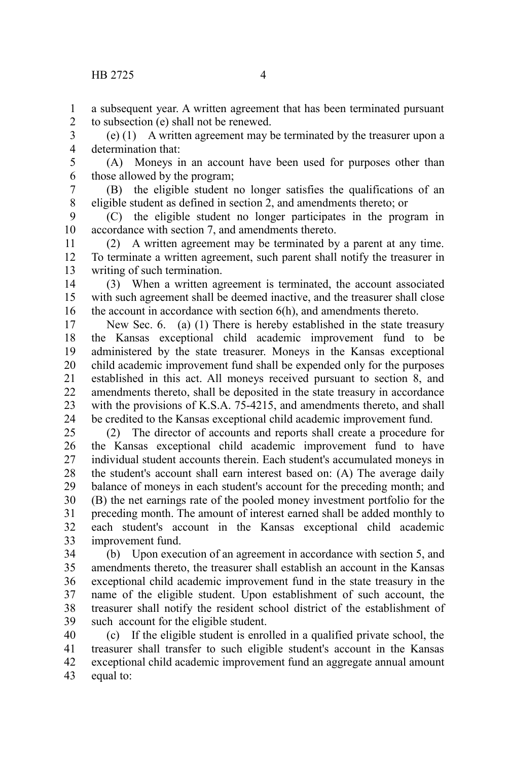a subsequent year. A written agreement that has been terminated pursuant to subsection (e) shall not be renewed. 1 2

(e) (1) A written agreement may be terminated by the treasurer upon a determination that: 3 4

(A) Moneys in an account have been used for purposes other than those allowed by the program; 5 6

(B) the eligible student no longer satisfies the qualifications of an eligible student as defined in section 2, and amendments thereto; or 7 8

(C) the eligible student no longer participates in the program in accordance with section 7, and amendments thereto. 9 10

(2) A written agreement may be terminated by a parent at any time. To terminate a written agreement, such parent shall notify the treasurer in writing of such termination. 11 12 13

(3) When a written agreement is terminated, the account associated with such agreement shall be deemed inactive, and the treasurer shall close the account in accordance with section 6(h), and amendments thereto. 14 15 16

New Sec. 6. (a) (1) There is hereby established in the state treasury the Kansas exceptional child academic improvement fund to be administered by the state treasurer. Moneys in the Kansas exceptional child academic improvement fund shall be expended only for the purposes established in this act. All moneys received pursuant to section 8, and amendments thereto, shall be deposited in the state treasury in accordance with the provisions of K.S.A. 75-4215, and amendments thereto, and shall be credited to the Kansas exceptional child academic improvement fund. 17 18 19 20 21 22 23 24

(2) The director of accounts and reports shall create a procedure for the Kansas exceptional child academic improvement fund to have individual student accounts therein. Each student's accumulated moneys in the student's account shall earn interest based on: (A) The average daily balance of moneys in each student's account for the preceding month; and (B) the net earnings rate of the pooled money investment portfolio for the preceding month. The amount of interest earned shall be added monthly to each student's account in the Kansas exceptional child academic improvement fund. 25 26 27 28 29 30 31 32 33

(b) Upon execution of an agreement in accordance with section 5, and amendments thereto, the treasurer shall establish an account in the Kansas exceptional child academic improvement fund in the state treasury in the name of the eligible student. Upon establishment of such account, the treasurer shall notify the resident school district of the establishment of such account for the eligible student. 34 35 36 37 38 39

(c) If the eligible student is enrolled in a qualified private school, the treasurer shall transfer to such eligible student's account in the Kansas exceptional child academic improvement fund an aggregate annual amount equal to: 40 41 42 43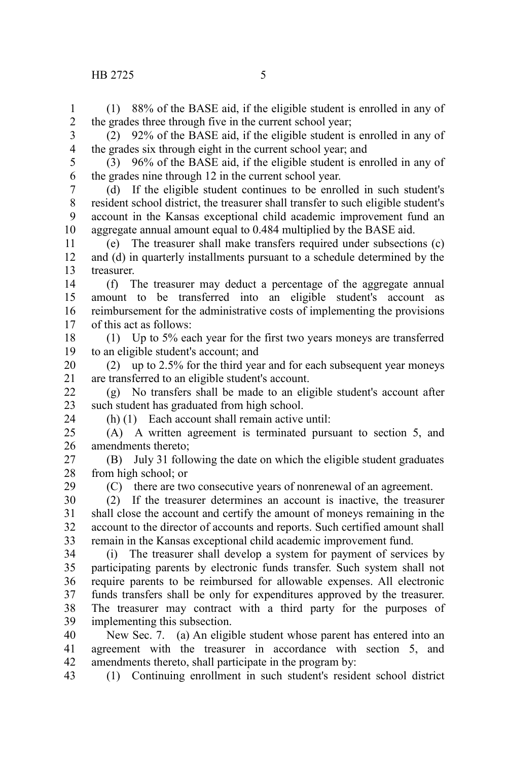## HB 2725 5

(1) 88% of the BASE aid, if the eligible student is enrolled in any of the grades three through five in the current school year; 1 2

(2) 92% of the BASE aid, if the eligible student is enrolled in any of the grades six through eight in the current school year; and 3 4

5

(3) 96% of the BASE aid, if the eligible student is enrolled in any of the grades nine through 12 in the current school year. 6

(d) If the eligible student continues to be enrolled in such student's resident school district, the treasurer shall transfer to such eligible student's account in the Kansas exceptional child academic improvement fund an aggregate annual amount equal to 0.484 multiplied by the BASE aid. 7 8 9 10

(e) The treasurer shall make transfers required under subsections (c) and (d) in quarterly installments pursuant to a schedule determined by the treasurer. 11 12 13

(f) The treasurer may deduct a percentage of the aggregate annual amount to be transferred into an eligible student's account as reimbursement for the administrative costs of implementing the provisions of this act as follows: 14 15 16 17

(1) Up to 5% each year for the first two years moneys are transferred to an eligible student's account; and 18 19

(2) up to 2.5% for the third year and for each subsequent year moneys are transferred to an eligible student's account. 20 21

(g) No transfers shall be made to an eligible student's account after such student has graduated from high school. 22 23

24

(h) (1) Each account shall remain active until:

(A) A written agreement is terminated pursuant to section 5, and amendments thereto; 25 26

(B) July 31 following the date on which the eligible student graduates from high school; or 27 28

29

(C) there are two consecutive years of nonrenewal of an agreement.

(2) If the treasurer determines an account is inactive, the treasurer shall close the account and certify the amount of moneys remaining in the account to the director of accounts and reports. Such certified amount shall remain in the Kansas exceptional child academic improvement fund. 30 31 32 33

(i) The treasurer shall develop a system for payment of services by participating parents by electronic funds transfer. Such system shall not require parents to be reimbursed for allowable expenses. All electronic funds transfers shall be only for expenditures approved by the treasurer. The treasurer may contract with a third party for the purposes of implementing this subsection. 34 35 36 37 38 39

New Sec. 7. (a) An eligible student whose parent has entered into an agreement with the treasurer in accordance with section 5, and amendments thereto, shall participate in the program by: 40 41 42

(1) Continuing enrollment in such student's resident school district 43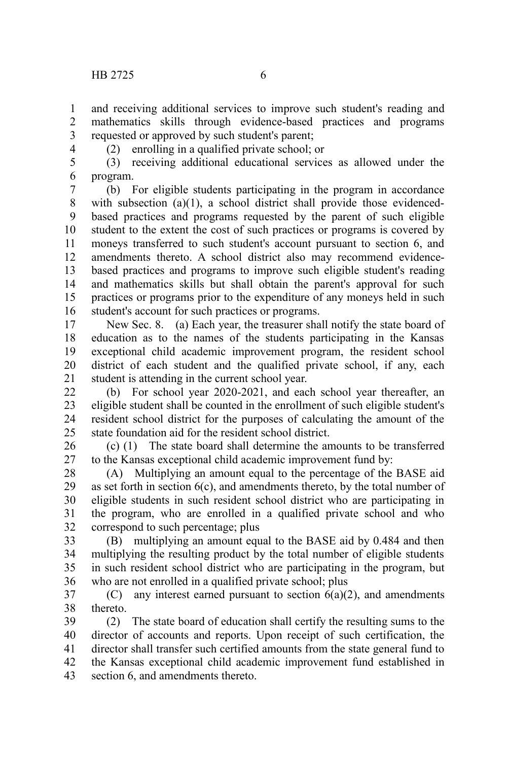and receiving additional services to improve such student's reading and mathematics skills through evidence-based practices and programs requested or approved by such student's parent; 1 2 3 4

(2) enrolling in a qualified private school; or

(3) receiving additional educational services as allowed under the program. 5 6

(b) For eligible students participating in the program in accordance with subsection (a)(1), a school district shall provide those evidencedbased practices and programs requested by the parent of such eligible student to the extent the cost of such practices or programs is covered by moneys transferred to such student's account pursuant to section 6, and amendments thereto. A school district also may recommend evidencebased practices and programs to improve such eligible student's reading and mathematics skills but shall obtain the parent's approval for such practices or programs prior to the expenditure of any moneys held in such student's account for such practices or programs. 7 8 9 10 11 12 13 14 15 16

New Sec. 8. (a) Each year, the treasurer shall notify the state board of education as to the names of the students participating in the Kansas exceptional child academic improvement program, the resident school district of each student and the qualified private school, if any, each student is attending in the current school year. 17 18 19 20 21

(b) For school year 2020-2021, and each school year thereafter, an eligible student shall be counted in the enrollment of such eligible student's resident school district for the purposes of calculating the amount of the state foundation aid for the resident school district. 22 23 24 25

(c) (1) The state board shall determine the amounts to be transferred to the Kansas exceptional child academic improvement fund by: 26 27

(A) Multiplying an amount equal to the percentage of the BASE aid as set forth in section 6(c), and amendments thereto, by the total number of eligible students in such resident school district who are participating in the program, who are enrolled in a qualified private school and who correspond to such percentage; plus 28 29 30 31 32

(B) multiplying an amount equal to the BASE aid by 0.484 and then multiplying the resulting product by the total number of eligible students in such resident school district who are participating in the program, but who are not enrolled in a qualified private school; plus 33 34 35 36

(C) any interest earned pursuant to section  $6(a)(2)$ , and amendments thereto. 37 38

(2) The state board of education shall certify the resulting sums to the director of accounts and reports. Upon receipt of such certification, the director shall transfer such certified amounts from the state general fund to the Kansas exceptional child academic improvement fund established in section 6, and amendments thereto. 39 40 41 42 43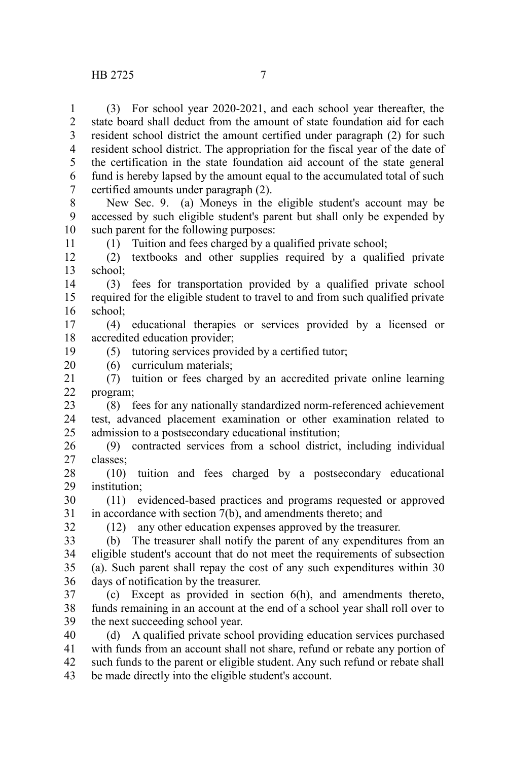(3) For school year 2020-2021, and each school year thereafter, the state board shall deduct from the amount of state foundation aid for each resident school district the amount certified under paragraph (2) for such resident school district. The appropriation for the fiscal year of the date of the certification in the state foundation aid account of the state general fund is hereby lapsed by the amount equal to the accumulated total of such certified amounts under paragraph (2). 1  $\mathcal{L}$ 3 4 5 6 7

New Sec. 9. (a) Moneys in the eligible student's account may be accessed by such eligible student's parent but shall only be expended by such parent for the following purposes: 8 9 10

(1) Tuition and fees charged by a qualified private school;

(2) textbooks and other supplies required by a qualified private school; 12 13

(3) fees for transportation provided by a qualified private school required for the eligible student to travel to and from such qualified private school; 14 15 16

(4) educational therapies or services provided by a licensed or accredited education provider; 17 18

(5) tutoring services provided by a certified tutor;

(6) curriculum materials; 20

(7) tuition or fees charged by an accredited private online learning program; 21 22

(8) fees for any nationally standardized norm-referenced achievement test, advanced placement examination or other examination related to admission to a postsecondary educational institution; 23 24 25

(9) contracted services from a school district, including individual classes; 26 27

(10) tuition and fees charged by a postsecondary educational institution; 28 29

(11) evidenced-based practices and programs requested or approved in accordance with section 7(b), and amendments thereto; and 30 31

(12) any other education expenses approved by the treasurer.

(b) The treasurer shall notify the parent of any expenditures from an eligible student's account that do not meet the requirements of subsection (a). Such parent shall repay the cost of any such expenditures within 30 days of notification by the treasurer. 33 34 35 36

(c) Except as provided in section 6(h), and amendments thereto, funds remaining in an account at the end of a school year shall roll over to the next succeeding school year. 37 38 39

(d) A qualified private school providing education services purchased with funds from an account shall not share, refund or rebate any portion of such funds to the parent or eligible student. Any such refund or rebate shall be made directly into the eligible student's account. 40 41 42 43

32

11

19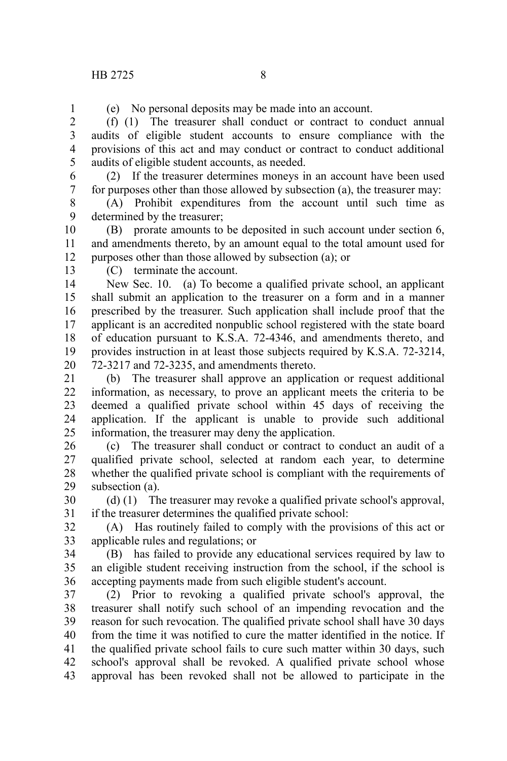(e) No personal deposits may be made into an account.

(f) (1) The treasurer shall conduct or contract to conduct annual audits of eligible student accounts to ensure compliance with the provisions of this act and may conduct or contract to conduct additional audits of eligible student accounts, as needed. 2 3 4 5

(2) If the treasurer determines moneys in an account have been used for purposes other than those allowed by subsection (a), the treasurer may: 6 7

(A) Prohibit expenditures from the account until such time as determined by the treasurer; 8 9

(B) prorate amounts to be deposited in such account under section 6, and amendments thereto, by an amount equal to the total amount used for purposes other than those allowed by subsection (a); or 10 11 12

13

1

(C) terminate the account.

New Sec. 10. (a) To become a qualified private school, an applicant shall submit an application to the treasurer on a form and in a manner prescribed by the treasurer. Such application shall include proof that the applicant is an accredited nonpublic school registered with the state board of education pursuant to K.S.A. 72-4346, and amendments thereto, and provides instruction in at least those subjects required by K.S.A. 72-3214, 72-3217 and 72-3235, and amendments thereto. 14 15 16 17 18 19 20

(b) The treasurer shall approve an application or request additional information, as necessary, to prove an applicant meets the criteria to be deemed a qualified private school within 45 days of receiving the application. If the applicant is unable to provide such additional information, the treasurer may deny the application. 21 22 23 24 25

(c) The treasurer shall conduct or contract to conduct an audit of a qualified private school, selected at random each year, to determine whether the qualified private school is compliant with the requirements of subsection (a). 26 27 28 29

(d) (1) The treasurer may revoke a qualified private school's approval, if the treasurer determines the qualified private school: 30 31

(A) Has routinely failed to comply with the provisions of this act or applicable rules and regulations; or 32 33

(B) has failed to provide any educational services required by law to an eligible student receiving instruction from the school, if the school is accepting payments made from such eligible student's account. 34 35 36

(2) Prior to revoking a qualified private school's approval, the treasurer shall notify such school of an impending revocation and the reason for such revocation. The qualified private school shall have 30 days from the time it was notified to cure the matter identified in the notice. If the qualified private school fails to cure such matter within 30 days, such school's approval shall be revoked. A qualified private school whose approval has been revoked shall not be allowed to participate in the 37 38 39 40 41 42 43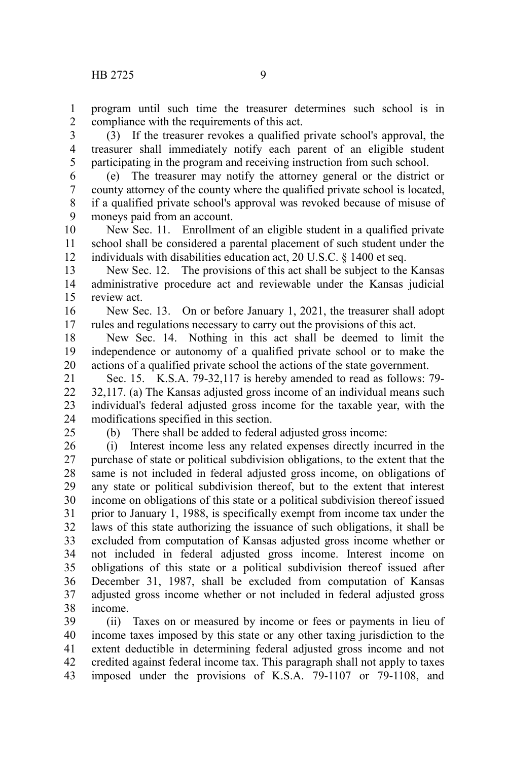program until such time the treasurer determines such school is in compliance with the requirements of this act. 1 2

(3) If the treasurer revokes a qualified private school's approval, the treasurer shall immediately notify each parent of an eligible student participating in the program and receiving instruction from such school. 3 4 5

(e) The treasurer may notify the attorney general or the district or county attorney of the county where the qualified private school is located, if a qualified private school's approval was revoked because of misuse of moneys paid from an account. 6 7 8 9

New Sec. 11. Enrollment of an eligible student in a qualified private school shall be considered a parental placement of such student under the individuals with disabilities education act, 20 U.S.C. § 1400 et seq. 10 11 12

New Sec. 12. The provisions of this act shall be subject to the Kansas administrative procedure act and reviewable under the Kansas judicial review act. 13 14 15

New Sec. 13. On or before January 1, 2021, the treasurer shall adopt rules and regulations necessary to carry out the provisions of this act. 16 17

New Sec. 14. Nothing in this act shall be deemed to limit the independence or autonomy of a qualified private school or to make the actions of a qualified private school the actions of the state government. 18 19 20

Sec. 15. K.S.A. 79-32,117 is hereby amended to read as follows: 79- 32,117. (a) The Kansas adjusted gross income of an individual means such individual's federal adjusted gross income for the taxable year, with the modifications specified in this section. 21 22 23 24

25

(b) There shall be added to federal adjusted gross income:

(i) Interest income less any related expenses directly incurred in the purchase of state or political subdivision obligations, to the extent that the same is not included in federal adjusted gross income, on obligations of any state or political subdivision thereof, but to the extent that interest income on obligations of this state or a political subdivision thereof issued prior to January 1, 1988, is specifically exempt from income tax under the laws of this state authorizing the issuance of such obligations, it shall be excluded from computation of Kansas adjusted gross income whether or not included in federal adjusted gross income. Interest income on obligations of this state or a political subdivision thereof issued after December 31, 1987, shall be excluded from computation of Kansas adjusted gross income whether or not included in federal adjusted gross income. 26 27 28 29 30 31 32 33 34 35 36 37 38

(ii) Taxes on or measured by income or fees or payments in lieu of income taxes imposed by this state or any other taxing jurisdiction to the extent deductible in determining federal adjusted gross income and not credited against federal income tax. This paragraph shall not apply to taxes imposed under the provisions of K.S.A. 79-1107 or 79-1108, and 39 40 41 42 43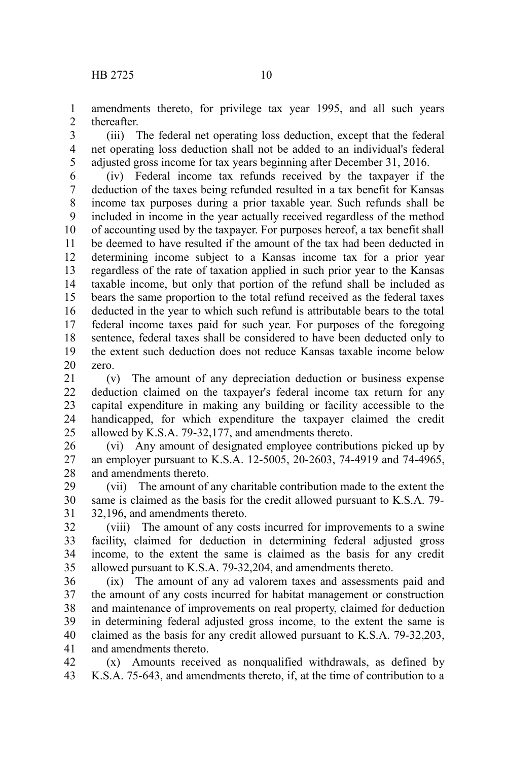amendments thereto, for privilege tax year 1995, and all such years thereafter. 1 2

(iii) The federal net operating loss deduction, except that the federal net operating loss deduction shall not be added to an individual's federal adjusted gross income for tax years beginning after December 31, 2016. 3 4 5

(iv) Federal income tax refunds received by the taxpayer if the deduction of the taxes being refunded resulted in a tax benefit for Kansas income tax purposes during a prior taxable year. Such refunds shall be included in income in the year actually received regardless of the method of accounting used by the taxpayer. For purposes hereof, a tax benefit shall be deemed to have resulted if the amount of the tax had been deducted in determining income subject to a Kansas income tax for a prior year regardless of the rate of taxation applied in such prior year to the Kansas taxable income, but only that portion of the refund shall be included as bears the same proportion to the total refund received as the federal taxes deducted in the year to which such refund is attributable bears to the total federal income taxes paid for such year. For purposes of the foregoing sentence, federal taxes shall be considered to have been deducted only to the extent such deduction does not reduce Kansas taxable income below zero. 6 7 8 9 10 11 12 13 14 15 16 17 18 19 20

(v) The amount of any depreciation deduction or business expense deduction claimed on the taxpayer's federal income tax return for any capital expenditure in making any building or facility accessible to the handicapped, for which expenditure the taxpayer claimed the credit allowed by K.S.A. 79-32,177, and amendments thereto. 21 22 23 24 25

(vi) Any amount of designated employee contributions picked up by an employer pursuant to K.S.A. 12-5005, 20-2603, 74-4919 and 74-4965, and amendments thereto. 26 27 28

(vii) The amount of any charitable contribution made to the extent the same is claimed as the basis for the credit allowed pursuant to K.S.A. 79- 32,196, and amendments thereto. 29 30 31

(viii) The amount of any costs incurred for improvements to a swine facility, claimed for deduction in determining federal adjusted gross income, to the extent the same is claimed as the basis for any credit allowed pursuant to K.S.A. 79-32,204, and amendments thereto. 32 33 34 35

(ix) The amount of any ad valorem taxes and assessments paid and the amount of any costs incurred for habitat management or construction and maintenance of improvements on real property, claimed for deduction in determining federal adjusted gross income, to the extent the same is claimed as the basis for any credit allowed pursuant to K.S.A. 79-32,203, and amendments thereto. 36 37 38 39 40 41

(x) Amounts received as nonqualified withdrawals, as defined by K.S.A. 75-643, and amendments thereto, if, at the time of contribution to a 42 43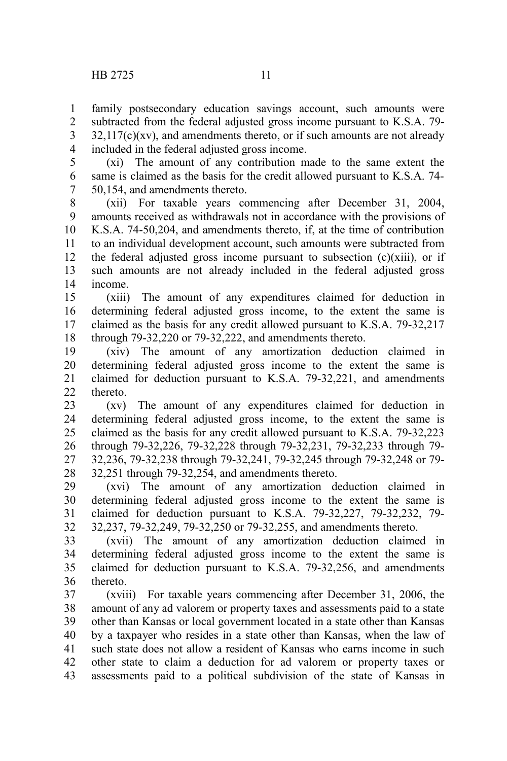family postsecondary education savings account, such amounts were subtracted from the federal adjusted gross income pursuant to K.S.A. 79-  $32,117(c)(xv)$ , and amendments thereto, or if such amounts are not already included in the federal adjusted gross income. 1 2 3 4

(xi) The amount of any contribution made to the same extent the same is claimed as the basis for the credit allowed pursuant to K.S.A. 74- 50,154, and amendments thereto. 5 6 7

(xii) For taxable years commencing after December 31, 2004, amounts received as withdrawals not in accordance with the provisions of K.S.A. 74-50,204, and amendments thereto, if, at the time of contribution to an individual development account, such amounts were subtracted from the federal adjusted gross income pursuant to subsection  $(c)(xiii)$ , or if such amounts are not already included in the federal adjusted gross income. 8 9 10 11 12 13 14

(xiii) The amount of any expenditures claimed for deduction in determining federal adjusted gross income, to the extent the same is claimed as the basis for any credit allowed pursuant to K.S.A. 79-32,217 through 79-32,220 or 79-32,222, and amendments thereto. 15 16 17 18

(xiv) The amount of any amortization deduction claimed in determining federal adjusted gross income to the extent the same is claimed for deduction pursuant to K.S.A. 79-32,221, and amendments thereto. 19 20 21 22

(xv) The amount of any expenditures claimed for deduction in determining federal adjusted gross income, to the extent the same is claimed as the basis for any credit allowed pursuant to K.S.A. 79-32,223 through 79-32,226, 79-32,228 through 79-32,231, 79-32,233 through 79- 32,236, 79-32,238 through 79-32,241, 79-32,245 through 79-32,248 or 79- 32,251 through 79-32,254, and amendments thereto. 23 24 25 26 27 28

(xvi) The amount of any amortization deduction claimed in determining federal adjusted gross income to the extent the same is claimed for deduction pursuant to K.S.A. 79-32,227, 79-32,232, 79- 32,237, 79-32,249, 79-32,250 or 79-32,255, and amendments thereto. 29 30 31 32

(xvii) The amount of any amortization deduction claimed in determining federal adjusted gross income to the extent the same is claimed for deduction pursuant to K.S.A. 79-32,256, and amendments thereto. 33 34 35 36

(xviii) For taxable years commencing after December 31, 2006, the amount of any ad valorem or property taxes and assessments paid to a state other than Kansas or local government located in a state other than Kansas by a taxpayer who resides in a state other than Kansas, when the law of such state does not allow a resident of Kansas who earns income in such other state to claim a deduction for ad valorem or property taxes or assessments paid to a political subdivision of the state of Kansas in 37 38 39 40 41 42 43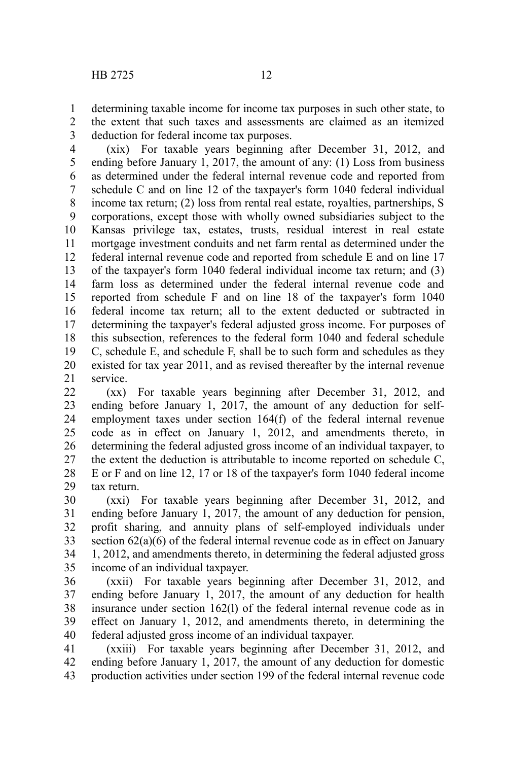determining taxable income for income tax purposes in such other state, to the extent that such taxes and assessments are claimed as an itemized deduction for federal income tax purposes. 1 2 3

(xix) For taxable years beginning after December 31, 2012, and ending before January 1, 2017, the amount of any: (1) Loss from business as determined under the federal internal revenue code and reported from schedule C and on line 12 of the taxpayer's form 1040 federal individual income tax return; (2) loss from rental real estate, royalties, partnerships, S corporations, except those with wholly owned subsidiaries subject to the Kansas privilege tax, estates, trusts, residual interest in real estate mortgage investment conduits and net farm rental as determined under the federal internal revenue code and reported from schedule E and on line 17 of the taxpayer's form 1040 federal individual income tax return; and (3) farm loss as determined under the federal internal revenue code and reported from schedule F and on line 18 of the taxpayer's form 1040 federal income tax return; all to the extent deducted or subtracted in determining the taxpayer's federal adjusted gross income. For purposes of this subsection, references to the federal form 1040 and federal schedule C, schedule E, and schedule F, shall be to such form and schedules as they existed for tax year 2011, and as revised thereafter by the internal revenue service. 4 5 6 7 8 9 10 11 12 13 14 15 16 17 18 19 20 21

(xx) For taxable years beginning after December 31, 2012, and ending before January 1, 2017, the amount of any deduction for selfemployment taxes under section 164(f) of the federal internal revenue code as in effect on January 1, 2012, and amendments thereto, in determining the federal adjusted gross income of an individual taxpayer, to the extent the deduction is attributable to income reported on schedule C, E or F and on line 12, 17 or 18 of the taxpayer's form 1040 federal income tax return. 22 23 24 25 26 27 28 29

(xxi) For taxable years beginning after December 31, 2012, and ending before January 1, 2017, the amount of any deduction for pension, profit sharing, and annuity plans of self-employed individuals under section 62(a)(6) of the federal internal revenue code as in effect on January 1, 2012, and amendments thereto, in determining the federal adjusted gross income of an individual taxpayer. 30 31 32 33 34 35

(xxii) For taxable years beginning after December 31, 2012, and ending before January 1, 2017, the amount of any deduction for health insurance under section 162(l) of the federal internal revenue code as in effect on January 1, 2012, and amendments thereto, in determining the federal adjusted gross income of an individual taxpayer. 36 37 38 39 40

(xxiii) For taxable years beginning after December 31, 2012, and ending before January 1, 2017, the amount of any deduction for domestic production activities under section 199 of the federal internal revenue code 41 42 43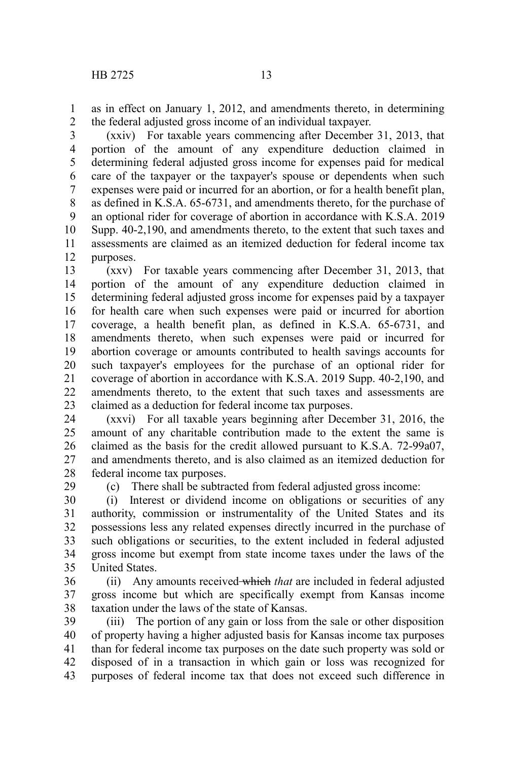29

as in effect on January 1, 2012, and amendments thereto, in determining the federal adjusted gross income of an individual taxpayer. 1 2

(xxiv) For taxable years commencing after December 31, 2013, that portion of the amount of any expenditure deduction claimed in determining federal adjusted gross income for expenses paid for medical care of the taxpayer or the taxpayer's spouse or dependents when such expenses were paid or incurred for an abortion, or for a health benefit plan, as defined in K.S.A. 65-6731, and amendments thereto, for the purchase of an optional rider for coverage of abortion in accordance with K.S.A. 2019 Supp. 40-2,190, and amendments thereto, to the extent that such taxes and assessments are claimed as an itemized deduction for federal income tax purposes. 3 4 5 6 7 8 9 10 11 12

(xxv) For taxable years commencing after December 31, 2013, that portion of the amount of any expenditure deduction claimed in determining federal adjusted gross income for expenses paid by a taxpayer for health care when such expenses were paid or incurred for abortion coverage, a health benefit plan, as defined in K.S.A. 65-6731, and amendments thereto, when such expenses were paid or incurred for abortion coverage or amounts contributed to health savings accounts for such taxpayer's employees for the purchase of an optional rider for coverage of abortion in accordance with K.S.A. 2019 Supp. 40-2,190, and amendments thereto, to the extent that such taxes and assessments are claimed as a deduction for federal income tax purposes. 13 14 15 16 17 18 19 20 21 22 23

(xxvi) For all taxable years beginning after December 31, 2016, the amount of any charitable contribution made to the extent the same is claimed as the basis for the credit allowed pursuant to K.S.A. 72-99a07, and amendments thereto, and is also claimed as an itemized deduction for federal income tax purposes. 24 25 26 27 28

(c) There shall be subtracted from federal adjusted gross income:

(i) Interest or dividend income on obligations or securities of any authority, commission or instrumentality of the United States and its possessions less any related expenses directly incurred in the purchase of such obligations or securities, to the extent included in federal adjusted gross income but exempt from state income taxes under the laws of the United States. 30 31 32 33 34 35

(ii) Any amounts received which *that* are included in federal adjusted gross income but which are specifically exempt from Kansas income taxation under the laws of the state of Kansas. 36 37 38

(iii) The portion of any gain or loss from the sale or other disposition of property having a higher adjusted basis for Kansas income tax purposes than for federal income tax purposes on the date such property was sold or disposed of in a transaction in which gain or loss was recognized for purposes of federal income tax that does not exceed such difference in 39 40 41 42 43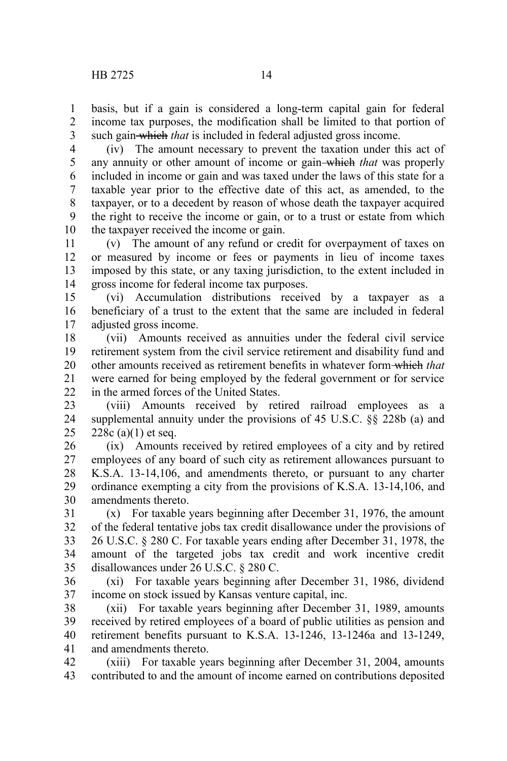basis, but if a gain is considered a long-term capital gain for federal income tax purposes, the modification shall be limited to that portion of such gain which *that* is included in federal adjusted gross income. 1 2 3

(iv) The amount necessary to prevent the taxation under this act of any annuity or other amount of income or gain which *that* was properly included in income or gain and was taxed under the laws of this state for a taxable year prior to the effective date of this act, as amended, to the taxpayer, or to a decedent by reason of whose death the taxpayer acquired the right to receive the income or gain, or to a trust or estate from which the taxpayer received the income or gain. 4 5 6 7 8 9 10

(v) The amount of any refund or credit for overpayment of taxes on or measured by income or fees or payments in lieu of income taxes imposed by this state, or any taxing jurisdiction, to the extent included in gross income for federal income tax purposes. 11 12 13 14

(vi) Accumulation distributions received by a taxpayer as a beneficiary of a trust to the extent that the same are included in federal adjusted gross income. 15 16 17

(vii) Amounts received as annuities under the federal civil service retirement system from the civil service retirement and disability fund and other amounts received as retirement benefits in whatever form which *that* were earned for being employed by the federal government or for service in the armed forces of the United States. 18 19 20 21 22

(viii) Amounts received by retired railroad employees as a supplemental annuity under the provisions of 45 U.S.C. §§ 228b (a) and  $228c$  (a)(1) et seq. 23 24 25

(ix) Amounts received by retired employees of a city and by retired employees of any board of such city as retirement allowances pursuant to K.S.A. 13-14,106, and amendments thereto, or pursuant to any charter ordinance exempting a city from the provisions of K.S.A. 13-14,106, and amendments thereto. 26 27 28 29 30

(x) For taxable years beginning after December 31, 1976, the amount of the federal tentative jobs tax credit disallowance under the provisions of 26 U.S.C. § 280 C. For taxable years ending after December 31, 1978, the amount of the targeted jobs tax credit and work incentive credit disallowances under 26 U.S.C. § 280 C. 31 32 33 34 35

(xi) For taxable years beginning after December 31, 1986, dividend income on stock issued by Kansas venture capital, inc. 36 37

(xii) For taxable years beginning after December 31, 1989, amounts received by retired employees of a board of public utilities as pension and retirement benefits pursuant to K.S.A. 13-1246, 13-1246a and 13-1249, and amendments thereto. 38 39 40 41

(xiii) For taxable years beginning after December 31, 2004, amounts contributed to and the amount of income earned on contributions deposited 42 43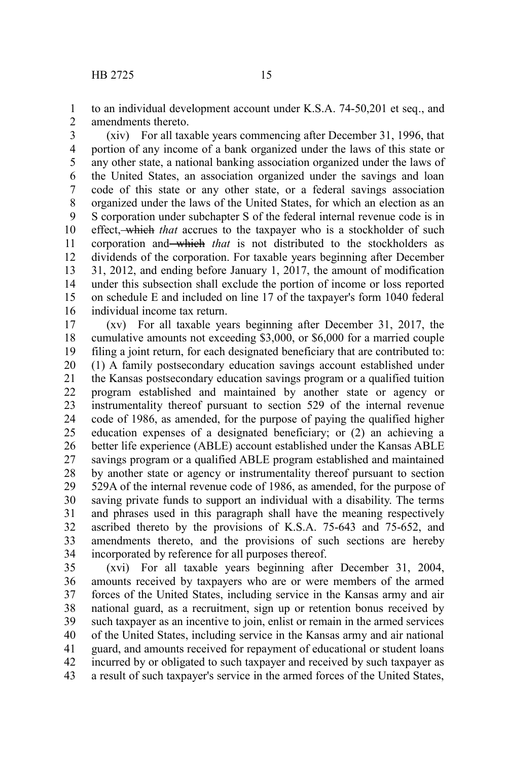to an individual development account under K.S.A. 74-50,201 et seq., and amendments thereto. 1 2

(xiv) For all taxable years commencing after December 31, 1996, that portion of any income of a bank organized under the laws of this state or any other state, a national banking association organized under the laws of the United States, an association organized under the savings and loan code of this state or any other state, or a federal savings association organized under the laws of the United States, for which an election as an S corporation under subchapter S of the federal internal revenue code is in effect, which *that* accrues to the taxpayer who is a stockholder of such corporation and which *that* is not distributed to the stockholders as dividends of the corporation. For taxable years beginning after December 31, 2012, and ending before January 1, 2017, the amount of modification under this subsection shall exclude the portion of income or loss reported on schedule E and included on line 17 of the taxpayer's form 1040 federal individual income tax return. 3 4 5 6 7 8 9 10 11 12 13 14 15 16

(xv) For all taxable years beginning after December 31, 2017, the cumulative amounts not exceeding \$3,000, or \$6,000 for a married couple filing a joint return, for each designated beneficiary that are contributed to: (1) A family postsecondary education savings account established under the Kansas postsecondary education savings program or a qualified tuition program established and maintained by another state or agency or instrumentality thereof pursuant to section 529 of the internal revenue code of 1986, as amended, for the purpose of paying the qualified higher education expenses of a designated beneficiary; or (2) an achieving a better life experience (ABLE) account established under the Kansas ABLE savings program or a qualified ABLE program established and maintained by another state or agency or instrumentality thereof pursuant to section 529A of the internal revenue code of 1986, as amended, for the purpose of saving private funds to support an individual with a disability. The terms and phrases used in this paragraph shall have the meaning respectively ascribed thereto by the provisions of K.S.A. 75-643 and 75-652, and amendments thereto, and the provisions of such sections are hereby incorporated by reference for all purposes thereof. 17 18 19 20 21 22 23 24 25 26 27 28 29 30 31 32 33 34

(xvi) For all taxable years beginning after December 31, 2004, amounts received by taxpayers who are or were members of the armed forces of the United States, including service in the Kansas army and air national guard, as a recruitment, sign up or retention bonus received by such taxpayer as an incentive to join, enlist or remain in the armed services of the United States, including service in the Kansas army and air national guard, and amounts received for repayment of educational or student loans incurred by or obligated to such taxpayer and received by such taxpayer as a result of such taxpayer's service in the armed forces of the United States, 35 36 37 38 39 40 41 42 43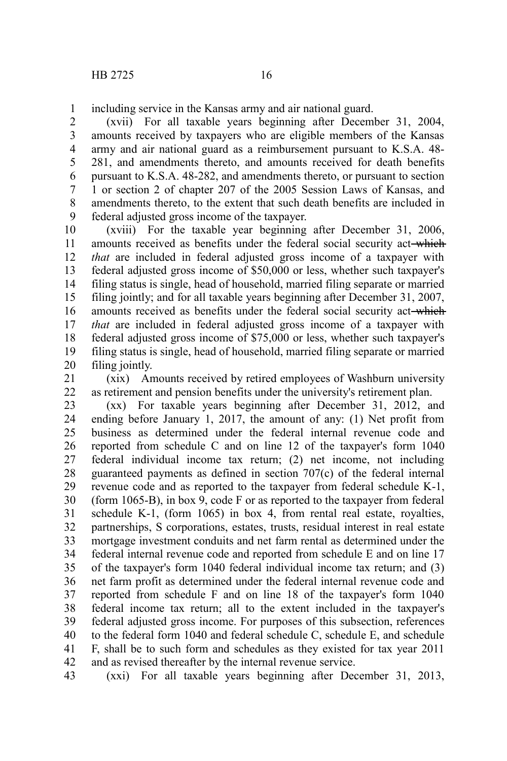including service in the Kansas army and air national guard. 1

(xvii) For all taxable years beginning after December 31, 2004, amounts received by taxpayers who are eligible members of the Kansas army and air national guard as a reimbursement pursuant to K.S.A. 48- 281, and amendments thereto, and amounts received for death benefits pursuant to K.S.A. 48-282, and amendments thereto, or pursuant to section 1 or section 2 of chapter 207 of the 2005 Session Laws of Kansas, and amendments thereto, to the extent that such death benefits are included in federal adjusted gross income of the taxpayer. 2 3 4 5 6 7 8 9

(xviii) For the taxable year beginning after December 31, 2006, amounts received as benefits under the federal social security act-which *that* are included in federal adjusted gross income of a taxpayer with federal adjusted gross income of \$50,000 or less, whether such taxpayer's filing status is single, head of household, married filing separate or married filing jointly; and for all taxable years beginning after December 31, 2007, amounts received as benefits under the federal social security act-which *that* are included in federal adjusted gross income of a taxpayer with federal adjusted gross income of \$75,000 or less, whether such taxpayer's filing status is single, head of household, married filing separate or married filing jointly. 10 11 12 13 14 15 16 17 18 19 20

(xix) Amounts received by retired employees of Washburn university as retirement and pension benefits under the university's retirement plan. 21 22

(xx) For taxable years beginning after December 31, 2012, and ending before January 1, 2017, the amount of any: (1) Net profit from business as determined under the federal internal revenue code and reported from schedule C and on line 12 of the taxpayer's form 1040 federal individual income tax return; (2) net income, not including guaranteed payments as defined in section 707(c) of the federal internal revenue code and as reported to the taxpayer from federal schedule K-1, (form 1065-B), in box 9, code F or as reported to the taxpayer from federal schedule K-1, (form 1065) in box 4, from rental real estate, royalties, partnerships, S corporations, estates, trusts, residual interest in real estate mortgage investment conduits and net farm rental as determined under the federal internal revenue code and reported from schedule E and on line 17 of the taxpayer's form 1040 federal individual income tax return; and (3) net farm profit as determined under the federal internal revenue code and reported from schedule F and on line 18 of the taxpayer's form 1040 federal income tax return; all to the extent included in the taxpayer's federal adjusted gross income. For purposes of this subsection, references to the federal form 1040 and federal schedule C, schedule E, and schedule F, shall be to such form and schedules as they existed for tax year 2011 and as revised thereafter by the internal revenue service. 23 24 25 26 27 28 29 30 31 32 33 34 35 36 37 38 39 40 41 42

(xxi) For all taxable years beginning after December 31, 2013, 43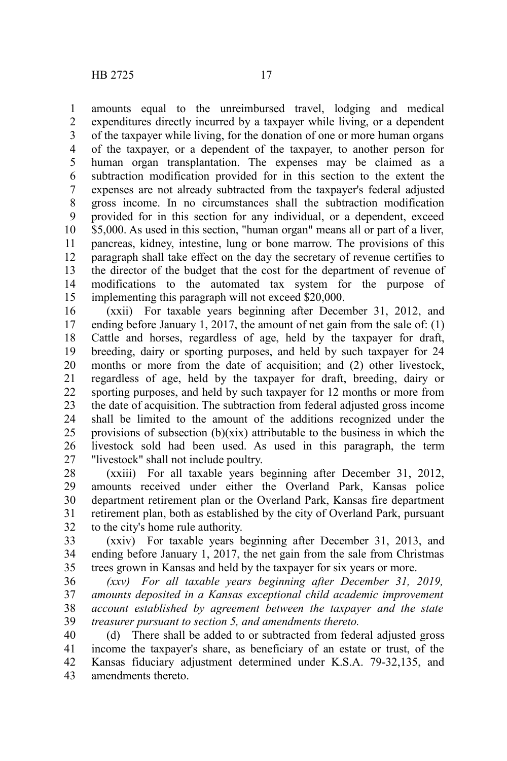amounts equal to the unreimbursed travel, lodging and medical expenditures directly incurred by a taxpayer while living, or a dependent of the taxpayer while living, for the donation of one or more human organs of the taxpayer, or a dependent of the taxpayer, to another person for human organ transplantation. The expenses may be claimed as a subtraction modification provided for in this section to the extent the expenses are not already subtracted from the taxpayer's federal adjusted gross income. In no circumstances shall the subtraction modification provided for in this section for any individual, or a dependent, exceed \$5,000. As used in this section, "human organ" means all or part of a liver, pancreas, kidney, intestine, lung or bone marrow. The provisions of this paragraph shall take effect on the day the secretary of revenue certifies to the director of the budget that the cost for the department of revenue of modifications to the automated tax system for the purpose of implementing this paragraph will not exceed \$20,000. 1 2 3 4 5 6 7 8 9 10 11 12 13 14 15

(xxii) For taxable years beginning after December 31, 2012, and ending before January 1, 2017, the amount of net gain from the sale of: (1) Cattle and horses, regardless of age, held by the taxpayer for draft, breeding, dairy or sporting purposes, and held by such taxpayer for 24 months or more from the date of acquisition; and (2) other livestock, regardless of age, held by the taxpayer for draft, breeding, dairy or sporting purposes, and held by such taxpayer for 12 months or more from the date of acquisition. The subtraction from federal adjusted gross income shall be limited to the amount of the additions recognized under the provisions of subsection  $(b)(\dot{x} \dot{x})$  attributable to the business in which the livestock sold had been used. As used in this paragraph, the term "livestock" shall not include poultry. 16 17 18 19 20 21 22 23 24 25 26 27

(xxiii) For all taxable years beginning after December 31, 2012, amounts received under either the Overland Park, Kansas police department retirement plan or the Overland Park, Kansas fire department retirement plan, both as established by the city of Overland Park, pursuant to the city's home rule authority. 28 29 30 31 32

(xxiv) For taxable years beginning after December 31, 2013, and ending before January 1, 2017, the net gain from the sale from Christmas trees grown in Kansas and held by the taxpayer for six years or more. 33 34 35

*(xxv) For all taxable years beginning after December 31, 2019, amounts deposited in a Kansas exceptional child academic improvement account established by agreement between the taxpayer and the state treasurer pursuant to section 5, and amendments thereto.* 36 37 38 39

(d) There shall be added to or subtracted from federal adjusted gross income the taxpayer's share, as beneficiary of an estate or trust, of the Kansas fiduciary adjustment determined under K.S.A. 79-32,135, and amendments thereto. 40 41 42 43